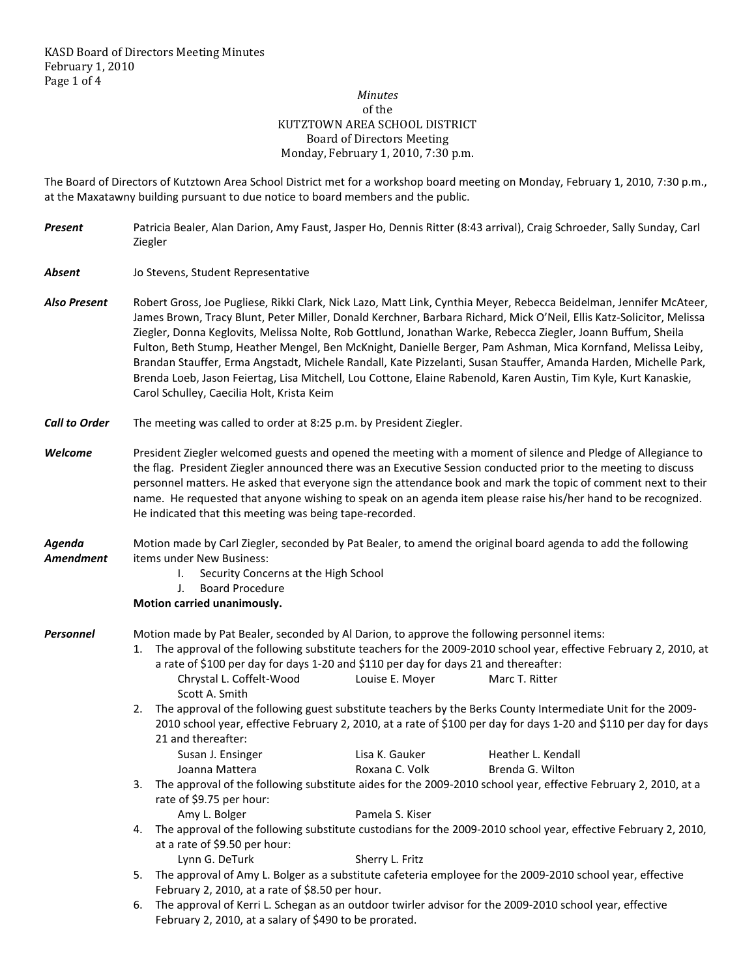## *Minutes*  of the KUTZTOWN AREA SCHOOL DISTRICT Board of Directors Meeting Monday, February 1, 2010, 7:30 p.m.

The Board of Directors of Kutztown Area School District met for a workshop board meeting on Monday, February 1, 2010, 7:30 p.m., at the Maxatawny building pursuant to due notice to board members and the public.

| <b>Present</b>       | Patricia Bealer, Alan Darion, Amy Faust, Jasper Ho, Dennis Ritter (8:43 arrival), Craig Schroeder, Sally Sunday, Carl<br>Ziegler                                                                                                                                                                                                                                                                                                                                                                                                                                                                                                                                                                                                                                 |  |  |  |  |  |
|----------------------|------------------------------------------------------------------------------------------------------------------------------------------------------------------------------------------------------------------------------------------------------------------------------------------------------------------------------------------------------------------------------------------------------------------------------------------------------------------------------------------------------------------------------------------------------------------------------------------------------------------------------------------------------------------------------------------------------------------------------------------------------------------|--|--|--|--|--|
| <b>Absent</b>        | Jo Stevens, Student Representative                                                                                                                                                                                                                                                                                                                                                                                                                                                                                                                                                                                                                                                                                                                               |  |  |  |  |  |
| <b>Also Present</b>  | Robert Gross, Joe Pugliese, Rikki Clark, Nick Lazo, Matt Link, Cynthia Meyer, Rebecca Beidelman, Jennifer McAteer,<br>James Brown, Tracy Blunt, Peter Miller, Donald Kerchner, Barbara Richard, Mick O'Neil, Ellis Katz-Solicitor, Melissa<br>Ziegler, Donna Keglovits, Melissa Nolte, Rob Gottlund, Jonathan Warke, Rebecca Ziegler, Joann Buffum, Sheila<br>Fulton, Beth Stump, Heather Mengel, Ben McKnight, Danielle Berger, Pam Ashman, Mica Kornfand, Melissa Leiby,<br>Brandan Stauffer, Erma Angstadt, Michele Randall, Kate Pizzelanti, Susan Stauffer, Amanda Harden, Michelle Park,<br>Brenda Loeb, Jason Feiertag, Lisa Mitchell, Lou Cottone, Elaine Rabenold, Karen Austin, Tim Kyle, Kurt Kanaskie,<br>Carol Schulley, Caecilia Holt, Krista Keim |  |  |  |  |  |
| <b>Call to Order</b> | The meeting was called to order at 8:25 p.m. by President Ziegler.                                                                                                                                                                                                                                                                                                                                                                                                                                                                                                                                                                                                                                                                                               |  |  |  |  |  |
| Welcome              | President Ziegler welcomed guests and opened the meeting with a moment of silence and Pledge of Allegiance to<br>the flag. President Ziegler announced there was an Executive Session conducted prior to the meeting to discuss<br>personnel matters. He asked that everyone sign the attendance book and mark the topic of comment next to their<br>name. He requested that anyone wishing to speak on an agenda item please raise his/her hand to be recognized.<br>He indicated that this meeting was being tape-recorded.                                                                                                                                                                                                                                    |  |  |  |  |  |
| Agenda<br>Amendment  | Motion made by Carl Ziegler, seconded by Pat Bealer, to amend the original board agenda to add the following<br>items under New Business:<br>Security Concerns at the High School<br>I.<br><b>Board Procedure</b><br>J.<br>Motion carried unanimously.                                                                                                                                                                                                                                                                                                                                                                                                                                                                                                           |  |  |  |  |  |
| <b>Personnel</b>     | Motion made by Pat Bealer, seconded by Al Darion, to approve the following personnel items:<br>The approval of the following substitute teachers for the 2009-2010 school year, effective February 2, 2010, at<br>1.<br>a rate of \$100 per day for days 1-20 and \$110 per day for days 21 and thereafter:<br>Chrystal L. Coffelt-Wood<br>Louise E. Moyer<br>Marc T. Ritter<br>Scott A. Smith<br>The approval of the following guest substitute teachers by the Berks County Intermediate Unit for the 2009-<br>2.<br>2010 school year, effective February 2, 2010, at a rate of \$100 per day for days 1-20 and \$110 per day for days<br>21 and thereafter:                                                                                                   |  |  |  |  |  |
|                      | Susan J. Ensinger<br>Lisa K. Gauker<br>Heather L. Kendall<br>Roxana C. Volk<br>Brenda G. Wilton<br>Joanna Mattera<br>The approval of the following substitute aides for the 2009-2010 school year, effective February 2, 2010, at a<br>3.<br>rate of \$9.75 per hour:                                                                                                                                                                                                                                                                                                                                                                                                                                                                                            |  |  |  |  |  |
|                      | Amy L. Bolger<br>Pamela S. Kiser                                                                                                                                                                                                                                                                                                                                                                                                                                                                                                                                                                                                                                                                                                                                 |  |  |  |  |  |
|                      | The approval of the following substitute custodians for the 2009-2010 school year, effective February 2, 2010,<br>4.<br>at a rate of \$9.50 per hour:                                                                                                                                                                                                                                                                                                                                                                                                                                                                                                                                                                                                            |  |  |  |  |  |
|                      | Lynn G. DeTurk<br>Sherry L. Fritz<br>The approval of Amy L. Bolger as a substitute cafeteria employee for the 2009-2010 school year, effective<br>5.<br>February 2, 2010, at a rate of \$8.50 per hour.<br>The approval of Kerri L. Schegan as an outdoor twirler advisor for the 2009-2010 school year, effective<br>6.                                                                                                                                                                                                                                                                                                                                                                                                                                         |  |  |  |  |  |

February 2, 2010, at a salary of \$490 to be prorated.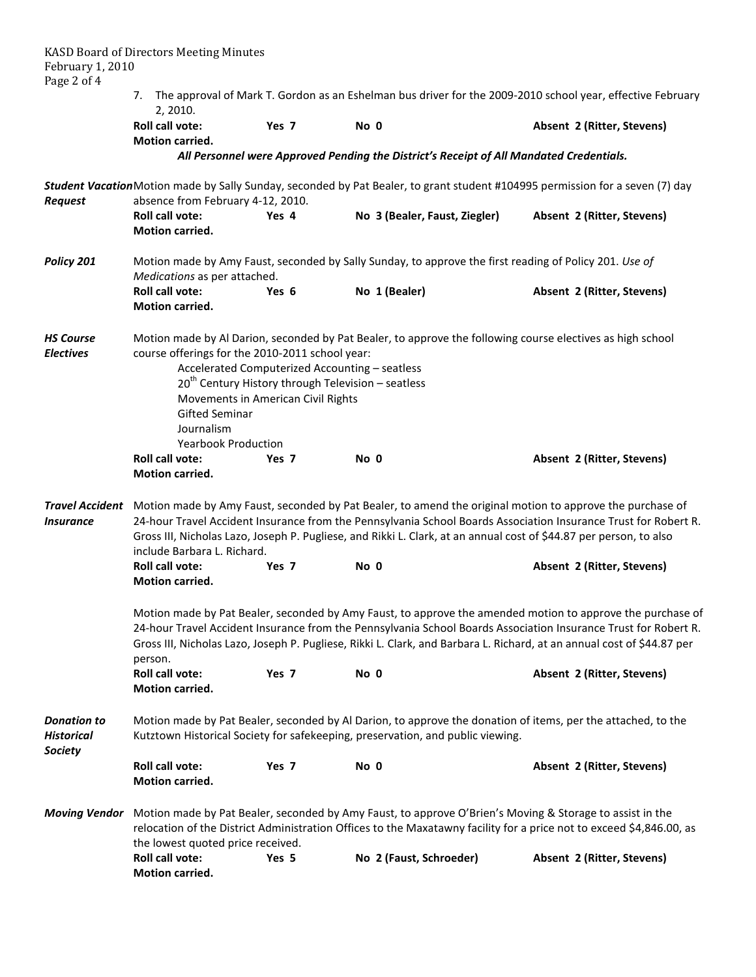| February 1, 2010<br>Page 2 of 4                           | <b>KASD Board of Directors Meeting Minutes</b>                                                                                                                                                                                                                                                                                                                                     |                  |                                                                                                                              |                            |  |  |  |
|-----------------------------------------------------------|------------------------------------------------------------------------------------------------------------------------------------------------------------------------------------------------------------------------------------------------------------------------------------------------------------------------------------------------------------------------------------|------------------|------------------------------------------------------------------------------------------------------------------------------|----------------------------|--|--|--|
|                                                           | 7.<br>2, 2010.                                                                                                                                                                                                                                                                                                                                                                     |                  | The approval of Mark T. Gordon as an Eshelman bus driver for the 2009-2010 school year, effective February                   |                            |  |  |  |
|                                                           | <b>Roll call vote:</b><br>Motion carried.                                                                                                                                                                                                                                                                                                                                          | Yes <sub>7</sub> | No 0                                                                                                                         | Absent 2 (Ritter, Stevens) |  |  |  |
|                                                           |                                                                                                                                                                                                                                                                                                                                                                                    |                  | All Personnel were Approved Pending the District's Receipt of All Mandated Credentials.                                      |                            |  |  |  |
| Request                                                   | absence from February 4-12, 2010.                                                                                                                                                                                                                                                                                                                                                  |                  | Student VacationMotion made by Sally Sunday, seconded by Pat Bealer, to grant student #104995 permission for a seven (7) day |                            |  |  |  |
|                                                           | <b>Roll call vote:</b><br><b>Motion carried.</b>                                                                                                                                                                                                                                                                                                                                   | Yes 4            | No 3 (Bealer, Faust, Ziegler)                                                                                                | Absent 2 (Ritter, Stevens) |  |  |  |
| Policy 201                                                | Motion made by Amy Faust, seconded by Sally Sunday, to approve the first reading of Policy 201. Use of<br>Medications as per attached.                                                                                                                                                                                                                                             |                  |                                                                                                                              |                            |  |  |  |
|                                                           | <b>Roll call vote:</b><br><b>Motion carried.</b>                                                                                                                                                                                                                                                                                                                                   | Yes 6            | No 1 (Bealer)                                                                                                                | Absent 2 (Ritter, Stevens) |  |  |  |
| <b>HS Course</b><br><b>Electives</b>                      | Motion made by Al Darion, seconded by Pat Bealer, to approve the following course electives as high school<br>course offerings for the 2010-2011 school year:<br>Accelerated Computerized Accounting - seatless<br>$20th$ Century History through Television – seatless<br>Movements in American Civil Rights<br><b>Gifted Seminar</b><br>Journalism<br><b>Yearbook Production</b> |                  |                                                                                                                              |                            |  |  |  |
|                                                           | <b>Roll call vote:</b><br>Motion carried.                                                                                                                                                                                                                                                                                                                                          | Yes 7            | No 0                                                                                                                         | Absent 2 (Ritter, Stevens) |  |  |  |
| <b>Travel Accident</b><br><i><b>Insurance</b></i>         | Motion made by Amy Faust, seconded by Pat Bealer, to amend the original motion to approve the purchase of<br>24-hour Travel Accident Insurance from the Pennsylvania School Boards Association Insurance Trust for Robert R.<br>Gross III, Nicholas Lazo, Joseph P. Pugliese, and Rikki L. Clark, at an annual cost of \$44.87 per person, to also<br>include Barbara L. Richard.  |                  |                                                                                                                              |                            |  |  |  |
|                                                           | <b>Roll call vote:</b><br>Motion carried.                                                                                                                                                                                                                                                                                                                                          | Yes <sub>7</sub> | No 0                                                                                                                         | Absent 2 (Ritter, Stevens) |  |  |  |
|                                                           | Motion made by Pat Bealer, seconded by Amy Faust, to approve the amended motion to approve the purchase of<br>24-hour Travel Accident Insurance from the Pennsylvania School Boards Association Insurance Trust for Robert R.<br>Gross III, Nicholas Lazo, Joseph P. Pugliese, Rikki L. Clark, and Barbara L. Richard, at an annual cost of \$44.87 per<br>person.                 |                  |                                                                                                                              |                            |  |  |  |
|                                                           | Roll call vote:<br>Motion carried.                                                                                                                                                                                                                                                                                                                                                 | Yes 7            | No 0                                                                                                                         | Absent 2 (Ritter, Stevens) |  |  |  |
| <b>Donation to</b><br><b>Historical</b><br><b>Society</b> | Motion made by Pat Bealer, seconded by Al Darion, to approve the donation of items, per the attached, to the<br>Kutztown Historical Society for safekeeping, preservation, and public viewing.                                                                                                                                                                                     |                  |                                                                                                                              |                            |  |  |  |
|                                                           | Roll call vote:<br>Motion carried.                                                                                                                                                                                                                                                                                                                                                 | Yes 7            | No 0                                                                                                                         | Absent 2 (Ritter, Stevens) |  |  |  |
|                                                           | Moving Vendor Motion made by Pat Bealer, seconded by Amy Faust, to approve O'Brien's Moving & Storage to assist in the<br>relocation of the District Administration Offices to the Maxatawny facility for a price not to exceed \$4,846.00, as<br>the lowest quoted price received.                                                                                                |                  |                                                                                                                              |                            |  |  |  |
|                                                           | <b>Roll call vote:</b><br>Motion carried.                                                                                                                                                                                                                                                                                                                                          | Yes 5            | No 2 (Faust, Schroeder)                                                                                                      | Absent 2 (Ritter, Stevens) |  |  |  |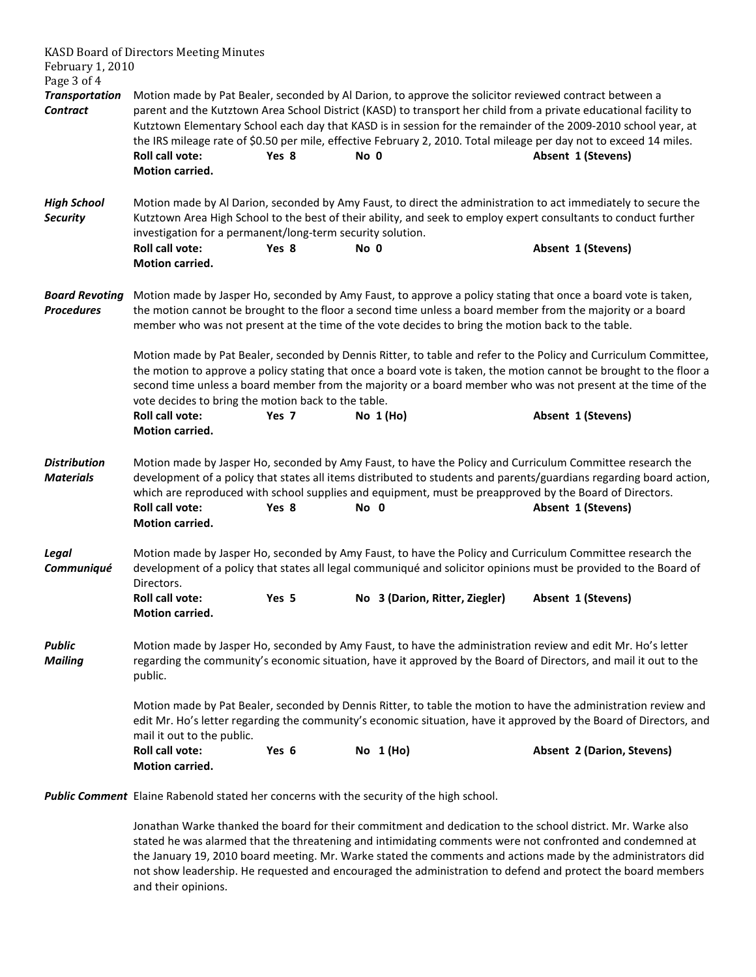|                                            | <b>KASD Board of Directors Meeting Minutes</b>                                                                                                                                                                                                                                                                                                                                                                 |       |            |                                                                                                                                                                                                                                                                                                                                                                                 |  |  |
|--------------------------------------------|----------------------------------------------------------------------------------------------------------------------------------------------------------------------------------------------------------------------------------------------------------------------------------------------------------------------------------------------------------------------------------------------------------------|-------|------------|---------------------------------------------------------------------------------------------------------------------------------------------------------------------------------------------------------------------------------------------------------------------------------------------------------------------------------------------------------------------------------|--|--|
| February 1, 2010<br>Page 3 of 4            |                                                                                                                                                                                                                                                                                                                                                                                                                |       |            |                                                                                                                                                                                                                                                                                                                                                                                 |  |  |
| <b>Transportation</b>                      |                                                                                                                                                                                                                                                                                                                                                                                                                |       |            | Motion made by Pat Bealer, seconded by Al Darion, to approve the solicitor reviewed contract between a                                                                                                                                                                                                                                                                          |  |  |
| <b>Contract</b>                            | Roll call vote:<br><b>Motion carried.</b>                                                                                                                                                                                                                                                                                                                                                                      | Yes 8 | No 0       | parent and the Kutztown Area School District (KASD) to transport her child from a private educational facility to<br>Kutztown Elementary School each day that KASD is in session for the remainder of the 2009-2010 school year, at<br>the IRS mileage rate of \$0.50 per mile, effective February 2, 2010. Total mileage per day not to exceed 14 miles.<br>Absent 1 (Stevens) |  |  |
| <b>High School</b><br><b>Security</b>      | Motion made by Al Darion, seconded by Amy Faust, to direct the administration to act immediately to secure the<br>Kutztown Area High School to the best of their ability, and seek to employ expert consultants to conduct further<br>investigation for a permanent/long-term security solution.                                                                                                               |       |            |                                                                                                                                                                                                                                                                                                                                                                                 |  |  |
|                                            | <b>Roll call vote:</b><br>Motion carried.                                                                                                                                                                                                                                                                                                                                                                      | Yes 8 | No 0       | Absent 1 (Stevens)                                                                                                                                                                                                                                                                                                                                                              |  |  |
| <b>Board Revoting</b><br><b>Procedures</b> | Motion made by Jasper Ho, seconded by Amy Faust, to approve a policy stating that once a board vote is taken,<br>the motion cannot be brought to the floor a second time unless a board member from the majority or a board<br>member who was not present at the time of the vote decides to bring the motion back to the table.                                                                               |       |            |                                                                                                                                                                                                                                                                                                                                                                                 |  |  |
|                                            | Motion made by Pat Bealer, seconded by Dennis Ritter, to table and refer to the Policy and Curriculum Committee,<br>the motion to approve a policy stating that once a board vote is taken, the motion cannot be brought to the floor a<br>second time unless a board member from the majority or a board member who was not present at the time of the<br>vote decides to bring the motion back to the table. |       |            |                                                                                                                                                                                                                                                                                                                                                                                 |  |  |
|                                            | Roll call vote:<br>Motion carried.                                                                                                                                                                                                                                                                                                                                                                             | Yes 7 | No $1(Ho)$ | Absent 1 (Stevens)                                                                                                                                                                                                                                                                                                                                                              |  |  |
| <b>Distribution</b><br><b>Materials</b>    | Roll call vote:<br><b>Motion carried.</b>                                                                                                                                                                                                                                                                                                                                                                      | Yes 8 | No 0       | Motion made by Jasper Ho, seconded by Amy Faust, to have the Policy and Curriculum Committee research the<br>development of a policy that states all items distributed to students and parents/guardians regarding board action,<br>which are reproduced with school supplies and equipment, must be preapproved by the Board of Directors.<br>Absent 1 (Stevens)               |  |  |
| Legal<br>Communiqué                        | Motion made by Jasper Ho, seconded by Amy Faust, to have the Policy and Curriculum Committee research the<br>development of a policy that states all legal communiqué and solicitor opinions must be provided to the Board of<br>Directors.                                                                                                                                                                    |       |            |                                                                                                                                                                                                                                                                                                                                                                                 |  |  |
|                                            | Roll call vote:<br>Motion carried.                                                                                                                                                                                                                                                                                                                                                                             | Yes 5 |            | No 3 (Darion, Ritter, Ziegler) Absent 1 (Stevens)                                                                                                                                                                                                                                                                                                                               |  |  |
| <b>Public</b><br><b>Mailing</b>            | Motion made by Jasper Ho, seconded by Amy Faust, to have the administration review and edit Mr. Ho's letter<br>regarding the community's economic situation, have it approved by the Board of Directors, and mail it out to the<br>public.                                                                                                                                                                     |       |            |                                                                                                                                                                                                                                                                                                                                                                                 |  |  |
|                                            | Motion made by Pat Bealer, seconded by Dennis Ritter, to table the motion to have the administration review and<br>edit Mr. Ho's letter regarding the community's economic situation, have it approved by the Board of Directors, and<br>mail it out to the public.                                                                                                                                            |       |            |                                                                                                                                                                                                                                                                                                                                                                                 |  |  |
|                                            | <b>Roll call vote:</b><br>Motion carried.                                                                                                                                                                                                                                                                                                                                                                      | Yes 6 | No 1 (Ho)  | Absent 2 (Darion, Stevens)                                                                                                                                                                                                                                                                                                                                                      |  |  |

*Public Comment* Elaine Rabenold stated her concerns with the security of the high school.

Jonathan Warke thanked the board for their commitment and dedication to the school district. Mr. Warke also stated he was alarmed that the threatening and intimidating comments were not confronted and condemned at the January 19, 2010 board meeting. Mr. Warke stated the comments and actions made by the administrators did not show leadership. He requested and encouraged the administration to defend and protect the board members and their opinions.